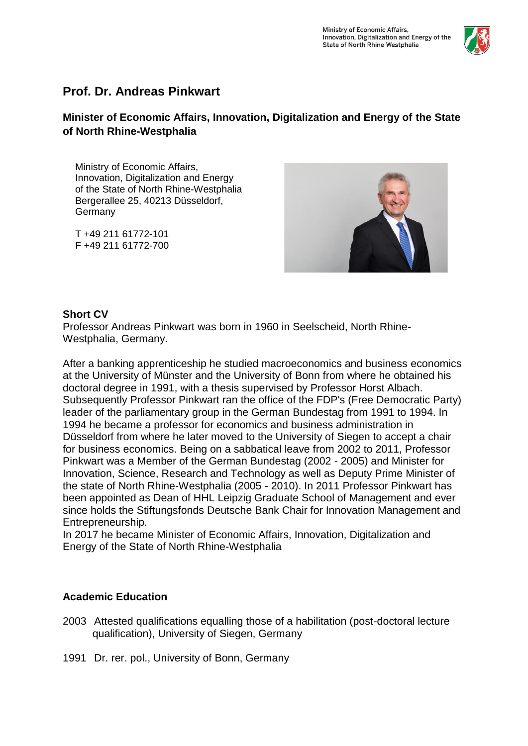

# **Prof. Dr. Andreas Pinkwart**

# **Minister of Economic Affairs, Innovation, Digitalization and Energy of the State of North Rhine-Westphalia**

Ministry of Economic Affairs, Innovation, Digitalization and Energy of the State of North Rhine-Westphalia Bergerallee 25, 40213 Düsseldorf, Germany

T +49 211 61772-101 F +49 211 61772-700



### **Short CV**

Professor Andreas Pinkwart was born in 1960 in Seelscheid, North Rhine-Westphalia, Germany.

After a banking apprenticeship he studied macroeconomics and business economics at the University of Münster and the University of Bonn from where he obtained his doctoral degree in 1991, with a thesis supervised by Professor Horst Albach. Subsequently Professor Pinkwart ran the office of the FDP's (Free Democratic Party) leader of the parliamentary group in the German Bundestag from 1991 to 1994. In 1994 he became a professor for economics and business administration in Düsseldorf from where he later moved to the University of Siegen to accept a chair for business economics. Being on a sabbatical leave from 2002 to 2011, Professor Pinkwart was a Member of the German Bundestag (2002 - 2005) and Minister for Innovation, Science, Research and Technology as well as Deputy Prime Minister of the state of North Rhine-Westphalia (2005 - 2010). In 2011 Professor Pinkwart has been appointed as Dean of HHL Leipzig Graduate School of Management and ever since holds the Stiftungsfonds Deutsche Bank Chair for Innovation Management and Entrepreneurship.

In 2017 he became Minister of Economic Affairs, Innovation, Digitalization and Energy of the State of North Rhine-Westphalia

### **Academic Education**

- 2003 Attested qualifications equalling those of a habilitation (post-doctoral lecture qualification), University of Siegen, Germany
- 1991 Dr. rer. pol., University of Bonn, Germany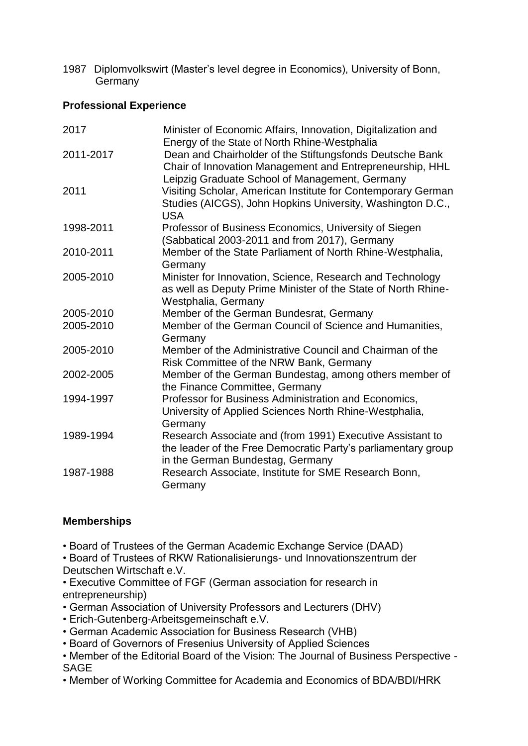1987 Diplomvolkswirt (Master's level degree in Economics), University of Bonn, Germany

# **Professional Experience**

| 2017      | Minister of Economic Affairs, Innovation, Digitalization and<br>Energy of the State of North Rhine-Westphalia                                                  |
|-----------|----------------------------------------------------------------------------------------------------------------------------------------------------------------|
| 2011-2017 | Dean and Chairholder of the Stiftungsfonds Deutsche Bank<br>Chair of Innovation Management and Entrepreneurship, HHL                                           |
| 2011      | Leipzig Graduate School of Management, Germany<br>Visiting Scholar, American Institute for Contemporary German                                                 |
|           | Studies (AICGS), John Hopkins University, Washington D.C.,<br><b>USA</b>                                                                                       |
| 1998-2011 | Professor of Business Economics, University of Siegen<br>(Sabbatical 2003-2011 and from 2017), Germany                                                         |
| 2010-2011 | Member of the State Parliament of North Rhine-Westphalia,<br>Germany                                                                                           |
| 2005-2010 | Minister for Innovation, Science, Research and Technology<br>as well as Deputy Prime Minister of the State of North Rhine-<br>Westphalia, Germany              |
| 2005-2010 | Member of the German Bundesrat, Germany                                                                                                                        |
| 2005-2010 | Member of the German Council of Science and Humanities,<br>Germany                                                                                             |
| 2005-2010 | Member of the Administrative Council and Chairman of the<br>Risk Committee of the NRW Bank, Germany                                                            |
| 2002-2005 | Member of the German Bundestag, among others member of<br>the Finance Committee, Germany                                                                       |
| 1994-1997 | Professor for Business Administration and Economics,<br>University of Applied Sciences North Rhine-Westphalia,<br>Germany                                      |
| 1989-1994 | Research Associate and (from 1991) Executive Assistant to<br>the leader of the Free Democratic Party's parliamentary group<br>in the German Bundestag, Germany |
| 1987-1988 | Research Associate, Institute for SME Research Bonn,<br>Germany                                                                                                |

### **Memberships**

• Board of Trustees of the German Academic Exchange Service (DAAD)

• Board of Trustees of RKW Rationalisierungs- und Innovationszentrum der Deutschen Wirtschaft e.V.

• Executive Committee of FGF (German association for research in entrepreneurship)

- German Association of University Professors and Lecturers (DHV)
- Erich-Gutenberg-Arbeitsgemeinschaft e.V.
- German Academic Association for Business Research (VHB)
- Board of Governors of Fresenius University of Applied Sciences

• Member of the Editorial Board of the Vision: The Journal of Business Perspective - SAGE

• Member of Working Committee for Academia and Economics of BDA/BDI/HRK